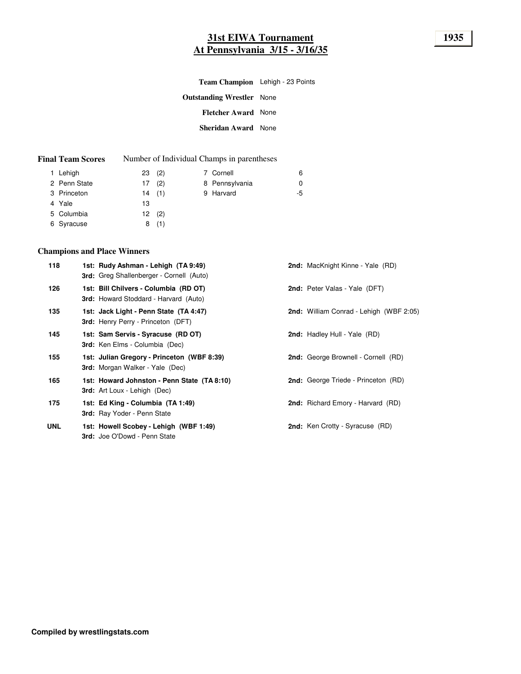# **31st EIWA Tournament 1935 At Pennsylvania 3/15 - 3/16/35**

| Team Champion Lehigh - 23 Points |  |
|----------------------------------|--|
| <b>Outstanding Wrestler</b> None |  |
| <b>Fletcher Award</b> None       |  |
| <b>Sheridan Award</b> None       |  |
|                                  |  |

| <b>Final Team Scores</b> |    |          | Number of Individual Champs in parentheses |    |
|--------------------------|----|----------|--------------------------------------------|----|
| 1 Lehigh                 |    | $23$ (2) | 7 Cornell                                  | 6  |
| 2 Penn State             |    | 17(2)    | 8 Pennsylvania                             | 0  |
| 3 Princeton              |    | 14(1)    | 9 Harvard                                  | -5 |
| 4 Yale                   | 13 |          |                                            |    |
| 5 Columbia               |    | 12(2)    |                                            |    |
| 6 Syracuse               |    | 8(1)     |                                            |    |
|                          |    |          |                                            |    |

#### **Champions and Place Winners**

| 118        | 1st: Rudy Ashman - Lehigh (TA 9:49)<br>3rd: Greg Shallenberger - Cornell (Auto)       | <b>2nd:</b> MacKnight Kinne - Yale (RD)        |
|------------|---------------------------------------------------------------------------------------|------------------------------------------------|
| 126        | 1st: Bill Chilvers - Columbia (RD OT)<br><b>3rd:</b> Howard Stoddard - Harvard (Auto) | 2nd: Peter Valas - Yale (DFT)                  |
| 135        | 1st: Jack Light - Penn State (TA 4:47)<br><b>3rd:</b> Henry Perry - Princeton (DFT)   | <b>2nd:</b> William Conrad - Lehigh (WBF 2:05) |
| 145        | 1st: Sam Servis - Syracuse (RD OT)<br><b>3rd:</b> Ken Elms - Columbia (Dec)           | <b>2nd:</b> Hadley Hull - Yale (RD)            |
| 155        | 1st: Julian Gregory - Princeton (WBF 8:39)<br><b>3rd:</b> Morgan Walker - Yale (Dec)  | <b>2nd:</b> George Brownell - Cornell (RD)     |
| 165        | 1st: Howard Johnston - Penn State (TA 8:10)<br><b>3rd:</b> Art Loux - Lehigh (Dec)    | <b>2nd:</b> George Triede - Princeton (RD)     |
| 175        | 1st: Ed King - Columbia (TA 1:49)<br><b>3rd:</b> Ray Yoder - Penn State               | 2nd: Richard Emory - Harvard (RD)              |
| <b>UNL</b> | 1st: Howell Scobey - Lehigh (WBF 1:49)<br><b>3rd: Joe O'Dowd - Penn State</b>         | <b>2nd:</b> Ken Crotty - Syracuse (RD)         |
|            |                                                                                       |                                                |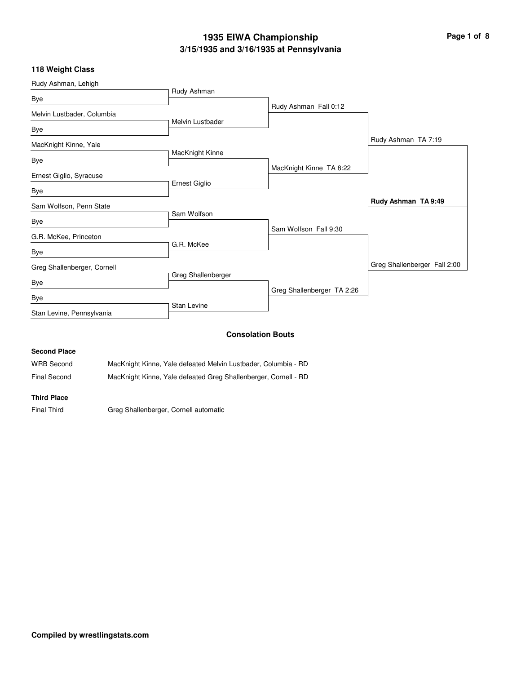# **3/15/1935 and 3/16/1935 at Pennsylvania 1935 EIWA Championship Page 1 of 8**

#### **118 Weight Class**

| Rudy Ashman, Lehigh         |                    |                            |                              |
|-----------------------------|--------------------|----------------------------|------------------------------|
| Bye                         | Rudy Ashman        |                            |                              |
| Melvin Lustbader, Columbia  |                    | Rudy Ashman Fall 0:12      |                              |
| Bye                         | Melvin Lustbader   |                            |                              |
| MacKnight Kinne, Yale       |                    |                            | Rudy Ashman TA 7:19          |
| Bye                         | MacKnight Kinne    |                            |                              |
| Ernest Giglio, Syracuse     |                    | MacKnight Kinne TA 8:22    |                              |
| Bye                         | Ernest Giglio      |                            |                              |
| Sam Wolfson, Penn State     |                    |                            | Rudy Ashman TA 9:49          |
| Bye                         | Sam Wolfson        |                            |                              |
| G.R. McKee, Princeton       |                    | Sam Wolfson Fall 9:30      |                              |
| Bye                         | G.R. McKee         |                            |                              |
| Greg Shallenberger, Cornell |                    |                            | Greg Shallenberger Fall 2:00 |
| Bye                         | Greg Shallenberger |                            |                              |
| Bye                         |                    | Greg Shallenberger TA 2:26 |                              |
| Stan Levine, Pennsylvania   | Stan Levine        |                            |                              |
|                             |                    | <b>Consolation Bouts</b>   |                              |
| <b>Second Place</b>         |                    |                            |                              |

WRB Second MacKnight Kinne, Yale defeated Melvin Lustbader, Columbia - RD

Final Second MacKnight Kinne, Yale defeated Greg Shallenberger, Cornell - RD

#### **Third Place**

Final Third Greg Shallenberger, Cornell automatic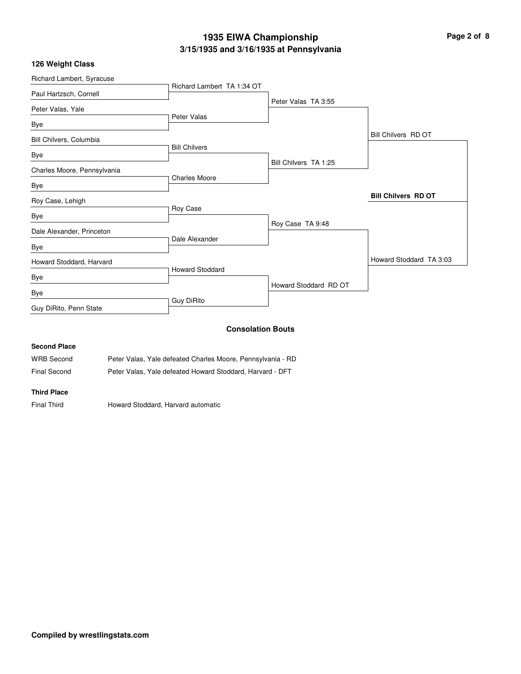# **3/15/1935 and 3/16/1935 at Pennsylvania 1935 EIWA Championship Page 2 of 8**

|  | 126 Weight Class |  |
|--|------------------|--|
|--|------------------|--|

| Richard Lambert, Syracuse          |                            |                          |                            |
|------------------------------------|----------------------------|--------------------------|----------------------------|
| Paul Hartzsch, Cornell             | Richard Lambert TA 1:34 OT |                          |                            |
| Peter Valas, Yale                  |                            | Peter Valas TA 3:55      |                            |
| Bye                                | Peter Valas                |                          |                            |
| Bill Chilvers, Columbia            |                            |                          | <b>Bill Chilvers RD OT</b> |
|                                    | <b>Bill Chilvers</b>       |                          |                            |
| Bye<br>Charles Moore, Pennsylvania |                            | Bill Chilvers TA 1:25    |                            |
|                                    | <b>Charles Moore</b>       |                          |                            |
| Bye                                |                            |                          |                            |
| Roy Case, Lehigh                   |                            |                          | <b>Bill Chilvers RD OT</b> |
| Bye                                | Roy Case                   |                          |                            |
|                                    |                            | Roy Case TA 9:48         |                            |
| Dale Alexander, Princeton          |                            |                          |                            |
| Bye                                | Dale Alexander             |                          |                            |
| Howard Stoddard, Harvard           |                            |                          | Howard Stoddard TA 3:03    |
| Bye                                | <b>Howard Stoddard</b>     |                          |                            |
| Bye                                |                            | Howard Stoddard RD OT    |                            |
| Guy DiRito, Penn State             | Guy DiRito                 |                          |                            |
|                                    |                            | <b>Consolation Bouts</b> |                            |

#### **Consolation Bouts**

#### **Second Place**

WRB Second Peter Valas, Yale defeated Charles Moore, Pennsylvania - RD

Final Second Peter Valas, Yale defeated Howard Stoddard, Harvard - DFT

#### **Third Place**

Final Third Howard Stoddard, Harvard automatic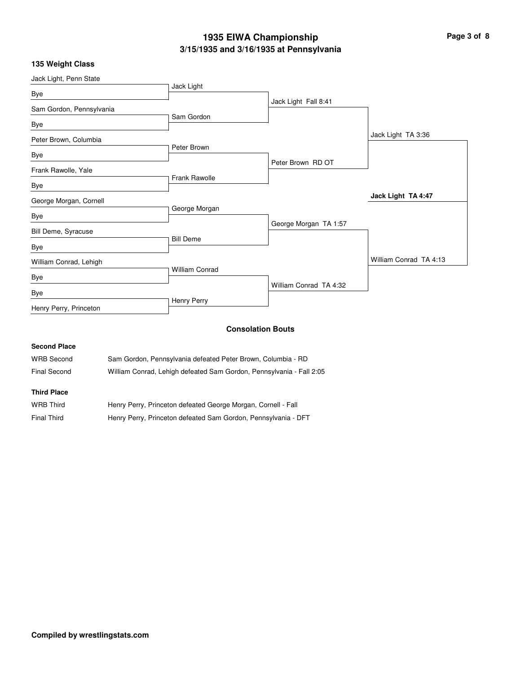# **3/15/1935 and 3/16/1935 at Pennsylvania 1935 EIWA Championship Page 3 of 8**

#### **135 Weight Class**

| Jack Light, Penn State   |                      |                          |                        |
|--------------------------|----------------------|--------------------------|------------------------|
| Bye                      | Jack Light           |                          |                        |
|                          |                      | Jack Light Fall 8:41     |                        |
| Sam Gordon, Pennsylvania | Sam Gordon           |                          |                        |
| Bye                      |                      |                          |                        |
| Peter Brown, Columbia    |                      |                          | Jack Light TA 3:36     |
|                          | Peter Brown          |                          |                        |
| Bye                      |                      | Peter Brown RD OT        |                        |
| Frank Rawolle, Yale      |                      |                          |                        |
| Bye                      | <b>Frank Rawolle</b> |                          |                        |
|                          |                      |                          | Jack Light TA 4:47     |
| George Morgan, Cornell   | George Morgan        |                          |                        |
| Bye                      |                      |                          |                        |
| Bill Deme, Syracuse      |                      | George Morgan TA 1:57    |                        |
|                          | <b>Bill Deme</b>     |                          |                        |
| Bye                      |                      |                          |                        |
| William Conrad, Lehigh   |                      |                          | William Conrad TA 4:13 |
|                          | William Conrad       |                          |                        |
| Bye                      |                      | William Conrad TA 4:32   |                        |
| Bye                      |                      |                          |                        |
| Henry Perry, Princeton   | Henry Perry          |                          |                        |
|                          |                      | <b>Consolation Bouts</b> |                        |

| <b>Second Place</b> |                                                                      |
|---------------------|----------------------------------------------------------------------|
| <b>WRB</b> Second   | Sam Gordon, Pennsylvania defeated Peter Brown, Columbia - RD         |
| Final Second        | William Conrad, Lehigh defeated Sam Gordon, Pennsylvania - Fall 2:05 |
| <b>Third Place</b>  |                                                                      |

| <b>WRB Third</b> | Henry Perry, Princeton defeated George Morgan, Cornell - Fall  |
|------------------|----------------------------------------------------------------|
| Final Third      | Henry Perry, Princeton defeated Sam Gordon, Pennsylvania - DFT |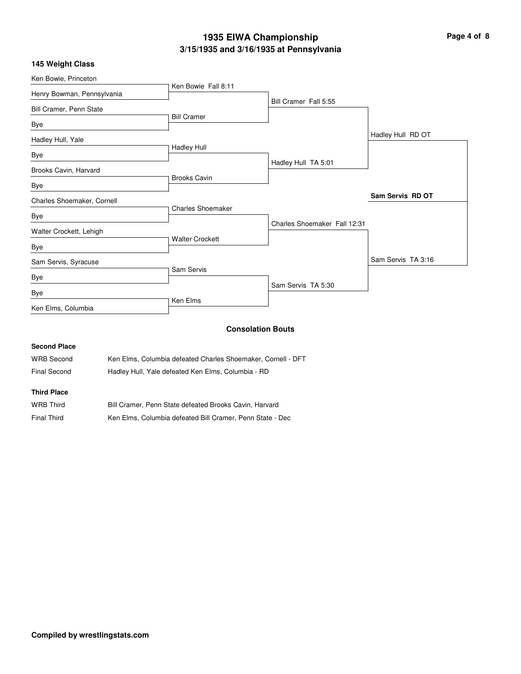# **3/15/1935 and 3/16/1935 at Pennsylvania 1935 EIWA Championship Page 4 of 8**

#### **145 Weight Class**

| Ken Bowie, Princeton         |                          |                              |                    |
|------------------------------|--------------------------|------------------------------|--------------------|
| Henry Bowman, Pennsylvania   | Ken Bowie Fall 8:11      |                              |                    |
| Bill Cramer, Penn State      |                          | Bill Cramer Fall 5:55        |                    |
| Bye                          | <b>Bill Cramer</b>       |                              |                    |
| Hadley Hull, Yale            |                          |                              | Hadley Hull RD OT  |
| Bye                          | <b>Hadley Hull</b>       |                              |                    |
|                              |                          | Hadley Hull TA 5:01          |                    |
| Brooks Cavin, Harvard<br>Bye | <b>Brooks Cavin</b>      |                              |                    |
| Charles Shoemaker, Cornell   |                          |                              | Sam Servis RD OT   |
| Bye                          | <b>Charles Shoemaker</b> |                              |                    |
| Walter Crockett, Lehigh      |                          | Charles Shoemaker Fall 12:31 |                    |
| Bye                          | <b>Walter Crockett</b>   |                              |                    |
| Sam Servis, Syracuse         |                          |                              | Sam Servis TA 3:16 |
| Bye                          | Sam Servis               |                              |                    |
| Bye                          |                          | Sam Servis TA 5:30           |                    |
| Ken Elms, Columbia           | Ken Elms                 |                              |                    |
|                              |                          |                              |                    |

### **Consolation Bouts**

#### **Second Place**

| WRB Second   | Ken Elms, Columbia defeated Charles Shoemaker, Cornell - DFT |
|--------------|--------------------------------------------------------------|
| Final Second | Hadley Hull, Yale defeated Ken Elms, Columbia - RD           |
| Thing Dinne  |                                                              |

#### **Third Place**

| <b>WRB Third</b>   | Bill Cramer, Penn State defeated Brooks Cavin, Harvard    |
|--------------------|-----------------------------------------------------------|
| <b>Final Third</b> | Ken Elms, Columbia defeated Bill Cramer, Penn State - Dec |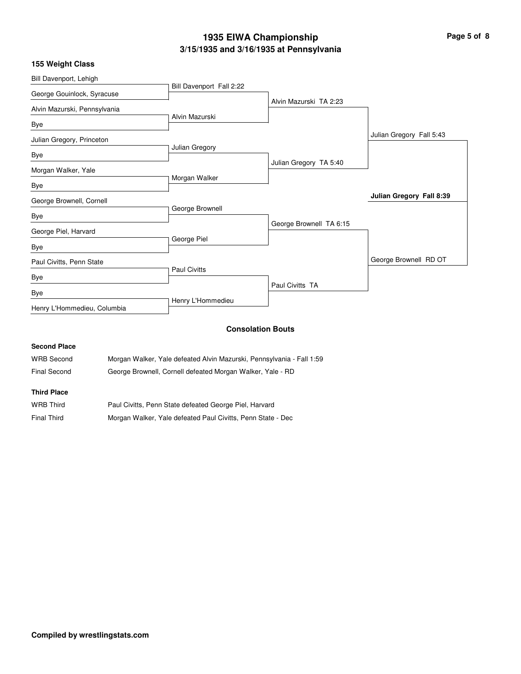# **3/15/1935 and 3/16/1935 at Pennsylvania 1935 EIWA Championship Page 5 of 8**

#### **155 Weight Class**

| Bill Davenport, Lehigh       |                          |                         |                          |
|------------------------------|--------------------------|-------------------------|--------------------------|
| George Gouinlock, Syracuse   | Bill Davenport Fall 2:22 |                         |                          |
| Alvin Mazurski, Pennsylvania |                          | Alvin Mazurski TA 2:23  |                          |
| Bye                          | Alvin Mazurski           |                         |                          |
| Julian Gregory, Princeton    |                          |                         | Julian Gregory Fall 5:43 |
| Bye                          | Julian Gregory           |                         |                          |
| Morgan Walker, Yale          |                          | Julian Gregory TA 5:40  |                          |
| Bye                          | Morgan Walker            |                         |                          |
| George Brownell, Cornell     |                          |                         | Julian Gregory Fall 8:39 |
| Bye                          | George Brownell          |                         |                          |
| George Piel, Harvard         |                          | George Brownell TA 6:15 |                          |
| Bye                          | George Piel              |                         |                          |
| Paul Civitts, Penn State     |                          |                         | George Brownell RD OT    |
| Bye                          | <b>Paul Civitts</b>      |                         |                          |
| Bye                          |                          | Paul Civitts TA         |                          |
| Henry L'Hommedieu, Columbia  | Henry L'Hommedieu        |                         |                          |

### **Consolation Bouts**

#### **Second Place**

| <b>WRB Second</b> | Morgan Walker, Yale defeated Alvin Mazurski, Pennsylvania - Fall 1:59 |
|-------------------|-----------------------------------------------------------------------|
| Final Second      | George Brownell, Cornell defeated Morgan Walker, Yale - RD            |
|                   |                                                                       |

## **Third Place**

| <b>WRB Third</b>   | Paul Civitts, Penn State defeated George Piel, Harvard      |
|--------------------|-------------------------------------------------------------|
| <b>Final Third</b> | Morgan Walker, Yale defeated Paul Civitts, Penn State - Dec |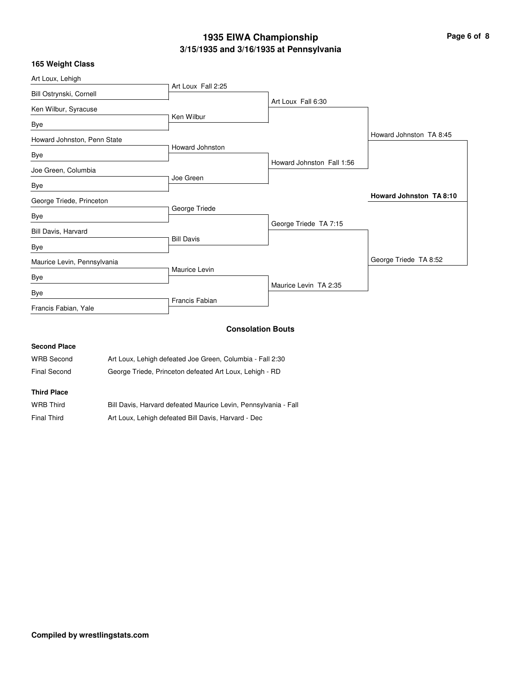# **3/15/1935 and 3/16/1935 at Pennsylvania 1935 EIWA Championship Page 6 of 8**

| Art Loux Fall 6:30<br>Howard Johnston Fall 1:56 | Howard Johnston TA 8:45 |
|-------------------------------------------------|-------------------------|
|                                                 |                         |
|                                                 |                         |
|                                                 |                         |
|                                                 |                         |
|                                                 |                         |
|                                                 |                         |
|                                                 |                         |
|                                                 |                         |
|                                                 | Howard Johnston TA 8:10 |
|                                                 |                         |
| George Triede TA 7:15                           |                         |
|                                                 |                         |
|                                                 | George Triede TA 8:52   |
|                                                 |                         |
|                                                 |                         |
|                                                 |                         |
| <b>Consolation Bouts</b>                        |                         |
|                                                 | Maurice Levin TA 2:35   |

# WRB Second Art Loux, Lehigh defeated Joe Green, Columbia - Fall 2:30 Final Second George Triede, Princeton defeated Art Loux, Lehigh - RD **Third Place**

| <b>WRB Third</b> | Bill Davis, Harvard defeated Maurice Levin, Pennsylvania - Fall |
|------------------|-----------------------------------------------------------------|
| Final Third      | Art Loux, Lehigh defeated Bill Davis, Harvard - Dec             |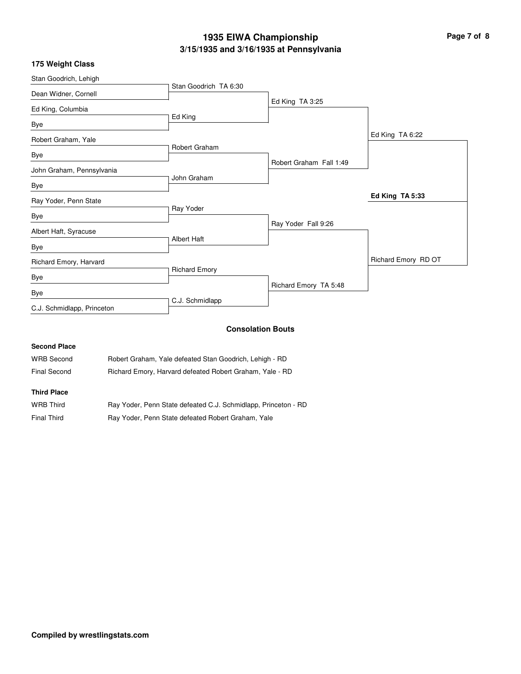# **3/15/1935 and 3/16/1935 at Pennsylvania 1935 EIWA Championship Page 7 of 8**

| 175 Weight Class |  |
|------------------|--|
|------------------|--|

| Stan Goodrich, Lehigh      |                       |                         |                     |
|----------------------------|-----------------------|-------------------------|---------------------|
| Dean Widner, Cornell       | Stan Goodrich TA 6:30 |                         |                     |
| Ed King, Columbia          |                       | Ed King TA 3:25         |                     |
| Bye                        | Ed King               |                         |                     |
| Robert Graham, Yale        |                       |                         | Ed King TA 6:22     |
| Bye                        | Robert Graham         |                         |                     |
| John Graham, Pennsylvania  |                       | Robert Graham Fall 1:49 |                     |
| Bye                        | John Graham           |                         |                     |
| Ray Yoder, Penn State      |                       |                         | Ed King TA 5:33     |
| Bye                        | Ray Yoder             |                         |                     |
| Albert Haft, Syracuse      |                       | Ray Yoder Fall 9:26     |                     |
| Bye                        | Albert Haft           |                         |                     |
| Richard Emory, Harvard     |                       |                         | Richard Emory RD OT |
| Bye                        | <b>Richard Emory</b>  |                         |                     |
| Bye                        |                       | Richard Emory TA 5:48   |                     |
| C.J. Schmidlapp, Princeton | C.J. Schmidlapp       |                         |                     |

### **Consolation Bouts**

#### **Second Place**

| WRB Second         | Robert Graham, Yale defeated Stan Goodrich, Lehigh - RD  |
|--------------------|----------------------------------------------------------|
| Final Second       | Richard Emory, Harvard defeated Robert Graham, Yale - RD |
| <b>Third Place</b> |                                                          |
|                    |                                                          |

| <b>WRB Third</b> | Ray Yoder, Penn State defeated C.J. Schmidlapp, Princeton - RD |
|------------------|----------------------------------------------------------------|
| Final Third      | Ray Yoder, Penn State defeated Robert Graham, Yale             |